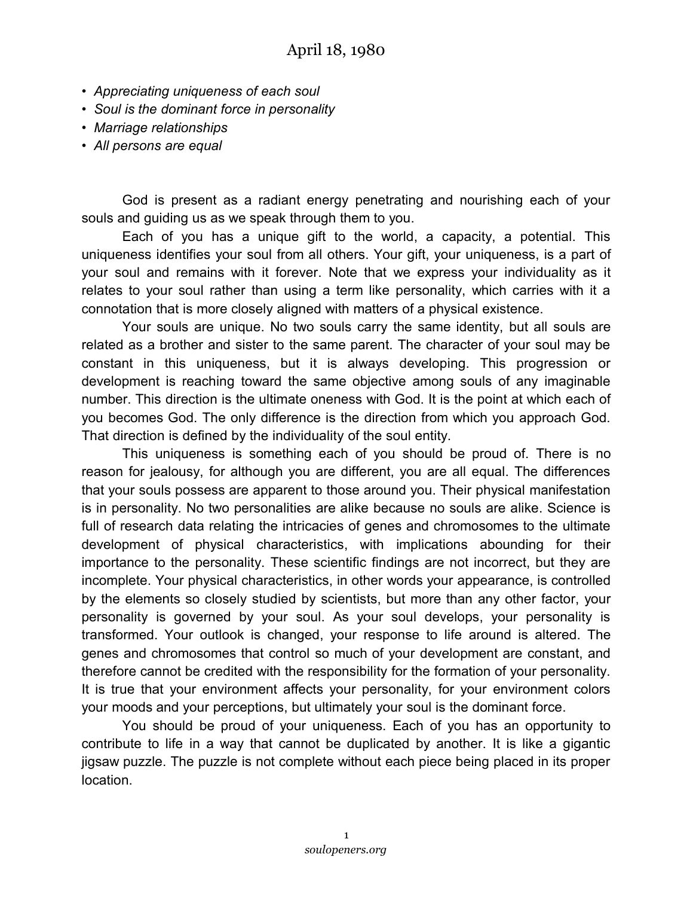- *Appreciating uniqueness of each soul*
- *Soul is the dominant force in personality*
- *Marriage relationships*
- *All persons are equal*

God is present as a radiant energy penetrating and nourishing each of your souls and guiding us as we speak through them to you.

Each of you has a unique gift to the world, a capacity, a potential. This uniqueness identifies your soul from all others. Your gift, your uniqueness, is a part of your soul and remains with it forever. Note that we express your individuality as it relates to your soul rather than using a term like personality, which carries with it a connotation that is more closely aligned with matters of a physical existence.

Your souls are unique. No two souls carry the same identity, but all souls are related as a brother and sister to the same parent. The character of your soul may be constant in this uniqueness, but it is always developing. This progression or development is reaching toward the same objective among souls of any imaginable number. This direction is the ultimate oneness with God. It is the point at which each of you becomes God. The only difference is the direction from which you approach God. That direction is defined by the individuality of the soul entity.

This uniqueness is something each of you should be proud of. There is no reason for jealousy, for although you are different, you are all equal. The differences that your souls possess are apparent to those around you. Their physical manifestation is in personality. No two personalities are alike because no souls are alike. Science is full of research data relating the intricacies of genes and chromosomes to the ultimate development of physical characteristics, with implications abounding for their importance to the personality. These scientific findings are not incorrect, but they are incomplete. Your physical characteristics, in other words your appearance, is controlled by the elements so closely studied by scientists, but more than any other factor, your personality is governed by your soul. As your soul develops, your personality is transformed. Your outlook is changed, your response to life around is altered. The genes and chromosomes that control so much of your development are constant, and therefore cannot be credited with the responsibility for the formation of your personality. It is true that your environment affects your personality, for your environment colors your moods and your perceptions, but ultimately your soul is the dominant force.

You should be proud of your uniqueness. Each of you has an opportunity to contribute to life in a way that cannot be duplicated by another. It is like a gigantic jigsaw puzzle. The puzzle is not complete without each piece being placed in its proper location.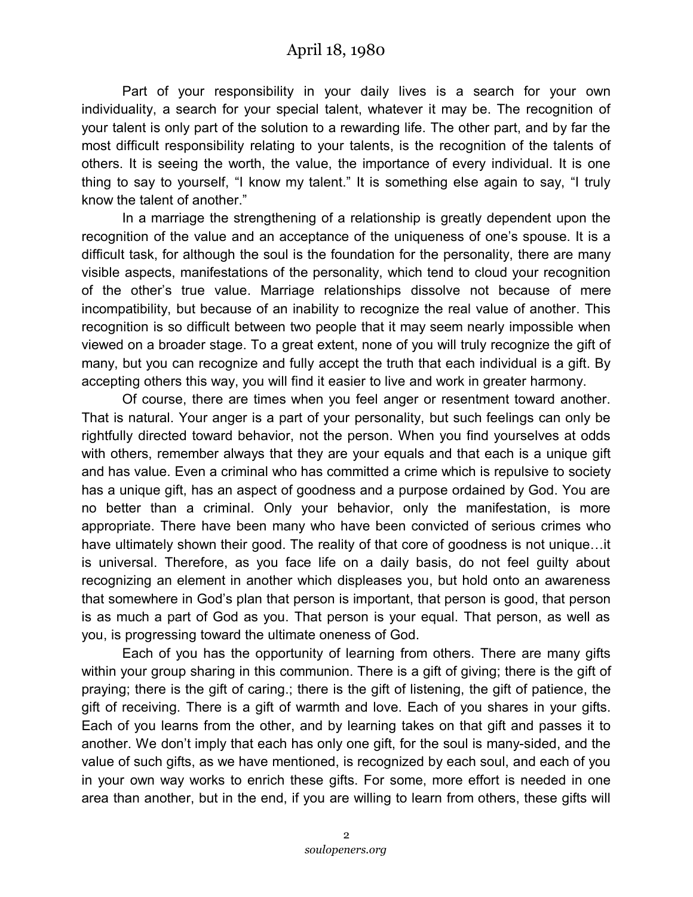Part of your responsibility in your daily lives is a search for your own individuality, a search for your special talent, whatever it may be. The recognition of your talent is only part of the solution to a rewarding life. The other part, and by far the most difficult responsibility relating to your talents, is the recognition of the talents of others. It is seeing the worth, the value, the importance of every individual. It is one thing to say to yourself, "I know my talent." It is something else again to say, "I truly know the talent of another."

In a marriage the strengthening of a relationship is greatly dependent upon the recognition of the value and an acceptance of the uniqueness of one's spouse. It is a difficult task, for although the soul is the foundation for the personality, there are many visible aspects, manifestations of the personality, which tend to cloud your recognition of the other's true value. Marriage relationships dissolve not because of mere incompatibility, but because of an inability to recognize the real value of another. This recognition is so difficult between two people that it may seem nearly impossible when viewed on a broader stage. To a great extent, none of you will truly recognize the gift of many, but you can recognize and fully accept the truth that each individual is a gift. By accepting others this way, you will find it easier to live and work in greater harmony.

Of course, there are times when you feel anger or resentment toward another. That is natural. Your anger is a part of your personality, but such feelings can only be rightfully directed toward behavior, not the person. When you find yourselves at odds with others, remember always that they are your equals and that each is a unique gift and has value. Even a criminal who has committed a crime which is repulsive to society has a unique gift, has an aspect of goodness and a purpose ordained by God. You are no better than a criminal. Only your behavior, only the manifestation, is more appropriate. There have been many who have been convicted of serious crimes who have ultimately shown their good. The reality of that core of goodness is not unique…it is universal. Therefore, as you face life on a daily basis, do not feel guilty about recognizing an element in another which displeases you, but hold onto an awareness that somewhere in God's plan that person is important, that person is good, that person is as much a part of God as you. That person is your equal. That person, as well as you, is progressing toward the ultimate oneness of God.

Each of you has the opportunity of learning from others. There are many gifts within your group sharing in this communion. There is a gift of giving; there is the gift of praying; there is the gift of caring.; there is the gift of listening, the gift of patience, the gift of receiving. There is a gift of warmth and love. Each of you shares in your gifts. Each of you learns from the other, and by learning takes on that gift and passes it to another. We don't imply that each has only one gift, for the soul is many-sided, and the value of such gifts, as we have mentioned, is recognized by each soul, and each of you in your own way works to enrich these gifts. For some, more effort is needed in one area than another, but in the end, if you are willing to learn from others, these gifts will